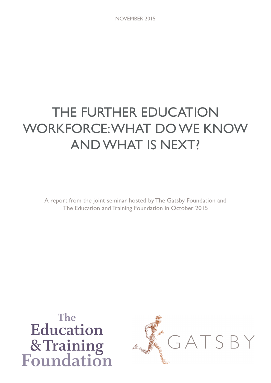# THE FURTHER EDUCATION WORKFORCE: WHAT DO WE KNOW AND WHAT IS NEXT?

A report from the joint seminar hosted by The Gatsby Foundation and The Education and Training Foundation in October 2015

The Education & Training<br>Foundation

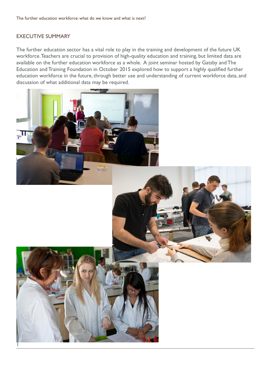# EXECUTIVE SUMMARY

The further education sector has a vital role to play in the training and development of the future UK workforce. Teachers are crucial to provision of high-quality education and training, but limited data are available on the further education workforce as a whole. A joint seminar hosted by Gatsby and The Education and Training Foundation in October 2015 explored how to support a highly qualified further education workforce in the future, through better use and understanding of current workforce data, and discussion of what additional data may be required.

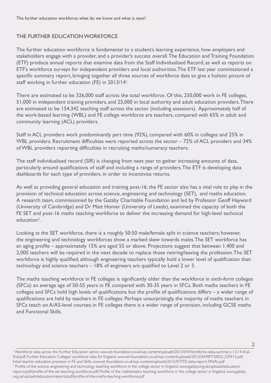# THE FURTHER EDUCATION WORKFORCE

The further education workforce is fundamental to a student's learning experience, how employers and stakeholders engage with a provider, and a provider's success overall. The Education and Training Foundation (ETF) produce annual reports that examine data from the Staff Individualised Record, as well as reports on ETF's workforce surveys for independent providers and local authorities. The ETF last year commissioned a specific summary report, bringing together all three sources of workforce data to give a holistic picture of staff working in further education (FE) in 2013/14<sup>1</sup>.

There are estimated to be 326,000 staff across the total workforce. Of this, 250,000 work in FE colleges, 51,000 in independent training providers, and 25,000 in local authority and adult education providers. There are estimated to be 154,342 teaching staff across the sector (including assessors). Approximately half of the work-based learning (WBL) and FE college workforce are teachers, compared with 65% in adult and community learning (ACL) providers.

Staff in ACL providers work predominantly part time (92%), compared with 60% in colleges and 25% in WBL providers. Recruitment difficulties were reported across the sector – 72% of ACL providers and 34% of WBL providers reporting difficulties in recruiting maths/numeracy teachers.

The staff individualised record (SIR) is changing from next year to gather increasing amounts of data, particularly around qualifications of staff and including a range of providers. The ETF is developing data dashboards for each type of providers, in order to incentivise returns.

As well as providing general education and training post-16, the FE sector also has a vital role to play in the provision of technical education across science, engineering and technology (SET), and maths education. A research team, commissioned by the Gatsby Charitable Foundation and led by Professor Geoff Hayward (University of Cambridge) and Dr Matt Homer (University of Leeds), examined the capacity of both the FE SET and post-16 maths teaching workforce to deliver the increasing demand for high-level technical education<sup>2</sup>.

Looking at the SET workforce, there is a roughly 50:50 male/female split in science teachers; however, the engineering and technology workforces show a marked skew towards males. The SET workforce has an aging profile – approximately 15% are aged 55 or above. Projections suggest that between 1,400 and 2,000 teachers will be required in the next decade to replace those retiring/leaving the profession. The SET workforce is highly qualified, although engineering teachers typically hold a lower level of qualification than technology and science teachers – 18% of engineers are qualified to Level 2 or 3.

The maths teaching workforce in FE colleges is significantly older than the workforce in sixth-form colleges (SFCs): an average age of 50-55 years in FE compared with 30-35 years in SFCs. Both maths teachers in FE colleges and SFCs hold high levels of qualifications but the profile of qualifications differs – a wider range of qualifications are held by teachers in FE colleges. Perhaps unsurprisingly, the majority of maths teachers in SFCs teach on A/AS-level courses; in FE colleges there is a wider range of provision, including GCSE maths and Functional Skills.

1 Workforce data across the Further Education sector, www.et-foundation.co.uk/wp-content/uploads/2015/04/Workforce-data-summary-13.14-finalfinal.pdf; Further Education Colleges' workforce data for England, www.et-foundation.co.uk/wp-content/uploads/2015/04/RPT-SIR22-230415.pdf; Initial teacher education provision in FE and Skills, www.et-foundation.co.uk/wp-content/uploads/2015/07/ITE-data-report-FINAL.pdf <sup>2</sup> Profile of the science, engineering and technology teaching workforce in the college sector in England, www.gatsby.org.uk/uploads/education/ reports/pdf/profile-of-the-set-teaching-workforce.pdf; Profile of the mathematics teaching workforce in the college sector in England, www.gatsby. org.uk/uploads/education/reports/pdf/profile-of-the-maths-teaching-workforce.pdf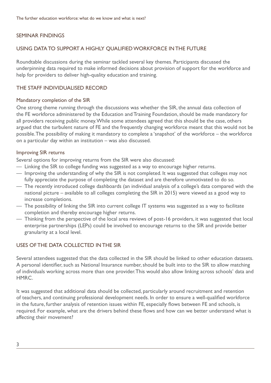# SEMINAR FINDINGS

## USING DATA TO SUPPORT A HIGHLY QUALIFIED WORKFORCE IN THE FUTURE

Roundtable discussions during the seminar tackled several key themes. Participants discussed the underpinning data required to make informed decisions about provision of support for the workforce and help for providers to deliver high-quality education and training.

## THE STAFF INDIVIDUALISED RECORD

#### Mandatory completion of the SIR

One strong theme running through the discussions was whether the SIR, the annual data collection of the FE workforce administered by the Education and Training Foundation, should be made mandatory for all providers receiving public money. While some attendees agreed that this should be the case, others argued that the turbulent nature of FE and the frequently changing workforce meant that this would not be possible. The possibility of making it mandatory to complete a 'snapshot' of the workforce – the workforce on a particular day within an institution – was also discussed.

#### Improving SIR returns

Several options for improving returns from the SIR were also discussed:

- Linking the SIR to college funding was suggested as a way to encourage higher returns.
- Improving the understanding of why the SIR is not completed. It was suggested that colleges may not fully appreciate the purpose of completing the dataset and are therefore unmotivated to do so.
- The recently introduced college dashboards (an individual analysis of a college's data compared with the national picture – available to all colleges completing the SIR in 2015) were viewed as a good way to increase completions.
- The possibility of linking the SIR into current college IT systems was suggested as a way to facilitate completion and thereby encourage higher returns.
- Thinking from the perspective of the local area reviews of post-16 providers, it was suggested that local enterprise partnerships (LEPs) could be involved to encourage returns to the SIR and provide better granularity at a local level.

# USES OF THE DATA COLLECTED IN THE SIR

Several attendees suggested that the data collected in the SIR should be linked to other education datasets. A personal identifier, such as National Insurance number, should be built into to the SIR to allow matching of individuals working across more than one provider. This would also allow linking across schools' data and HMRC.

It was suggested that additional data should be collected, particularly around recruitment and retention of teachers, and continuing professional development needs. In order to ensure a well-qualified workforce in the future, further analysis of retention issues within FE, especially flows between FE and schools, is required. For example, what are the drivers behind these flows and how can we better understand what is affecting their movement?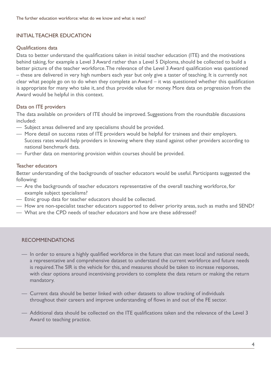# INITIAL TEACHER EDUCATION

#### Qualifications data

Data to better understand the qualifications taken in initial teacher education (ITE) and the motivations behind taking, for example a Level 3 Award rather than a Level 5 Diploma, should be collected to build a better picture of the teacher workforce. The relevance of the Level 3 Award qualification was questioned – these are delivered in very high numbers each year but only give a taster of teaching. It is currently not clear what people go on to do when they complete an Award – it was questioned whether this qualification is appropriate for many who take it, and thus provide value for money. More data on progression from the Award would be helpful in this context.

#### Data on ITE providers

The data available on providers of ITE should be improved. Suggestions from the roundtable discussions included:

- Subject areas delivered and any specialisms should be provided.
- More detail on success rates of ITE providers would be helpful for trainees and their employers. Success rates would help providers in knowing where they stand against other providers according to national benchmark data.
- Further data on mentoring provision within courses should be provided.

#### Teacher educators

Better understanding of the backgrounds of teacher educators would be useful. Participants suggested the following:

- Are the backgrounds of teacher educators representative of the overall teaching workforce, for example subject specialisms?
- Etnic group data for teacher educators should be collected.
- How are non-specialist teacher educators supported to deliver priority areas, such as maths and SEND?
- What are the CPD needs of teacher educators and how are these addressed?

#### RECOMMENDATIONS

- In order to ensure a highly qualified workforce in the future that can meet local and national needs, a representative and comprehensive dataset to understand the current workforce and future needs is required. The SIR is the vehicle for this, and measures should be taken to increase responses, with clear options around incentivising providers to complete the data return or making the return mandatory.
- Current data should be better linked with other datasets to allow tracking of individuals throughout their careers and improve understanding of flows in and out of the FE sector.
- Additional data should be collected on the ITE qualifications taken and the relevance of the Level 3 Award to teaching practice.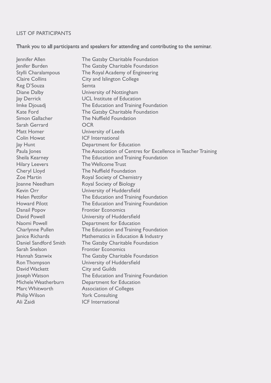# LIST OF PARTICIPANTS

# Thank you to all participants and speakers for attending and contributing to the seminar.

| Jennifer Allen          | The Gatsby Charitable Foundation                              |
|-------------------------|---------------------------------------------------------------|
| Jenifer Burden          | The Gatsby Charitable Foundation                              |
| Stylli Charalampous     | The Royal Academy of Engineering                              |
| <b>Claire Collins</b>   | City and Islington College                                    |
| Reg D'Souza             | Semta                                                         |
| Diane Dalby             | University of Nottingham                                      |
| Jay Derrick             | <b>UCL Institute of Education</b>                             |
| Imke Djouadj            | The Education and Training Foundation                         |
| <b>Kate Ford</b>        | The Gatsby Charitable Foundation                              |
| Simon Gallacher         | The Nuffield Foundation                                       |
| Sarah Gerrard           | <b>OCR</b>                                                    |
| Matt Homer              | University of Leeds                                           |
| <b>Colin Howat</b>      | <b>ICF</b> International                                      |
| Jay Hunt                | Department for Education                                      |
| Paula Jones             | The Association of Centres for Excellence in Teacher Training |
| Sheila Kearney          | The Education and Training Foundation                         |
| <b>Hilary Leevers</b>   | The Wellcome Trust                                            |
| Cheryl Lloyd            | The Nuffield Foundation                                       |
| <b>Zoe Martin</b>       | Royal Society of Chemistry                                    |
| Joanne Needham          | <b>Royal Society of Biology</b>                               |
| Kevin Orr               | University of Huddersfield                                    |
| <b>Helen Pettifor</b>   | The Education and Training Foundation                         |
| <b>Howard Pilott</b>    | The Education and Training Foundation                         |
| Danail Popov            | <b>Frontier Economics</b>                                     |
| David Powell            | University of Huddersfield                                    |
| Naomi Powell            | Department for Education                                      |
| <b>Charlynne Pullen</b> | The Education and Training Foundation                         |
| Janice Richards         | Mathematics in Education & Industry                           |
| Daniel Sandford Smith   | The Gatsby Charitable Foundation                              |
| Sarah Snelson           | <b>Frontier Economics</b>                                     |
| Hannah Stanwix          | The Gatsby Charitable Foundation                              |
| <b>Ron Thompson</b>     | University of Huddersfield                                    |
| David Wackett           | <b>City and Guilds</b>                                        |
| Joseph Watson           | The Education and Training Foundation                         |
| Michele Weatherburn     | Department for Education                                      |
| Marc Whitworth          | <b>Association of Colleges</b>                                |
| <b>Philip Wilson</b>    | <b>York Consulting</b>                                        |
| Ali Zaidi               | <b>ICF</b> International                                      |